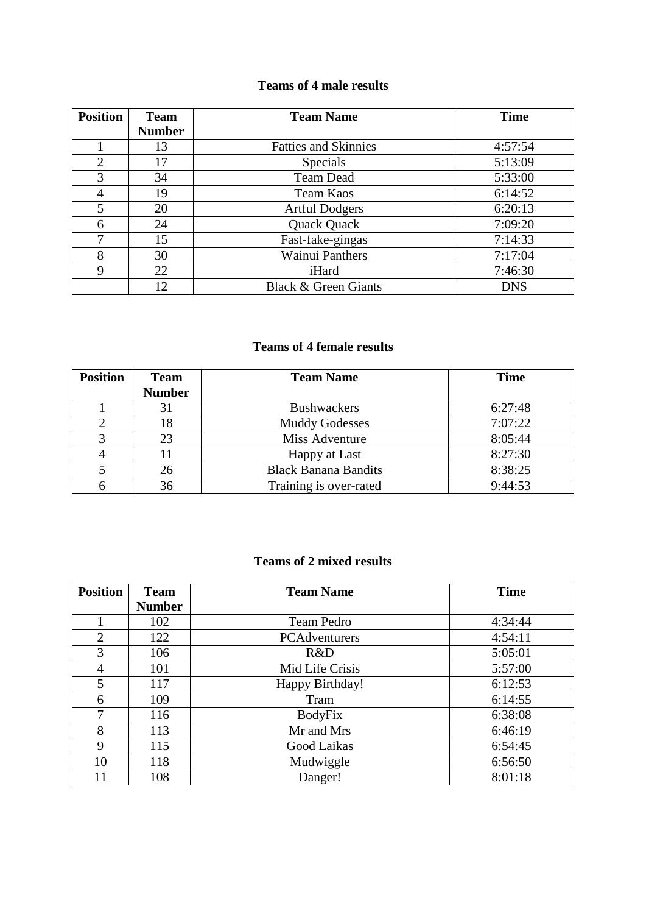### **Teams of 4 male results**

| <b>Position</b> | <b>Team</b>   | <b>Team Name</b>                | <b>Time</b> |
|-----------------|---------------|---------------------------------|-------------|
|                 | <b>Number</b> |                                 |             |
|                 | 13            | <b>Fatties and Skinnies</b>     | 4:57:54     |
| $\overline{2}$  | 17            | Specials                        | 5:13:09     |
| 3               | 34            | Team Dead                       | 5:33:00     |
| 4               | 19            | Team Kaos                       | 6:14:52     |
| 5               | 20            | <b>Artful Dodgers</b>           | 6:20:13     |
| 6               | 24            | Quack Quack                     | 7:09:20     |
| 7               | 15            | Fast-fake-gingas                | 7:14:33     |
| 8               | 30            | <b>Wainui Panthers</b>          | 7:17:04     |
| 9               | 22            | iHard                           | 7:46:30     |
|                 | 12            | <b>Black &amp; Green Giants</b> | <b>DNS</b>  |

## **Teams of 4 female results**

| <b>Position</b> | <b>Team</b>   | <b>Team Name</b>            | <b>Time</b> |
|-----------------|---------------|-----------------------------|-------------|
|                 | <b>Number</b> |                             |             |
|                 | 31            | <b>Bushwackers</b>          | 6:27:48     |
|                 | 18            | <b>Muddy Godesses</b>       | 7:07:22     |
|                 | 23            | Miss Adventure              | 8:05:44     |
|                 |               | Happy at Last               | 8:27:30     |
|                 | 26            | <b>Black Banana Bandits</b> | 8:38:25     |
|                 | 36            | Training is over-rated      | 9:44:53     |

### **Teams of 2 mixed results**

| <b>Position</b> | <b>Team</b>   | <b>Team Name</b> | <b>Time</b> |
|-----------------|---------------|------------------|-------------|
|                 | <b>Number</b> |                  |             |
|                 | 102           | Team Pedro       | 4:34:44     |
| $\overline{2}$  | 122           | PCAdventurers    | 4:54:11     |
| 3               | 106           | R&D              | 5:05:01     |
| 4               | 101           | Mid Life Crisis  | 5:57:00     |
| 5               | 117           | Happy Birthday!  | 6:12:53     |
| 6               | 109           | Tram             | 6:14:55     |
| 7               | 116           | <b>BodyFix</b>   | 6:38:08     |
| 8               | 113           | Mr and Mrs       | 6:46:19     |
| 9               | 115           | Good Laikas      | 6:54:45     |
| 10              | 118           | Mudwiggle        | 6:56:50     |
| 11              | 108           | Danger!          | 8:01:18     |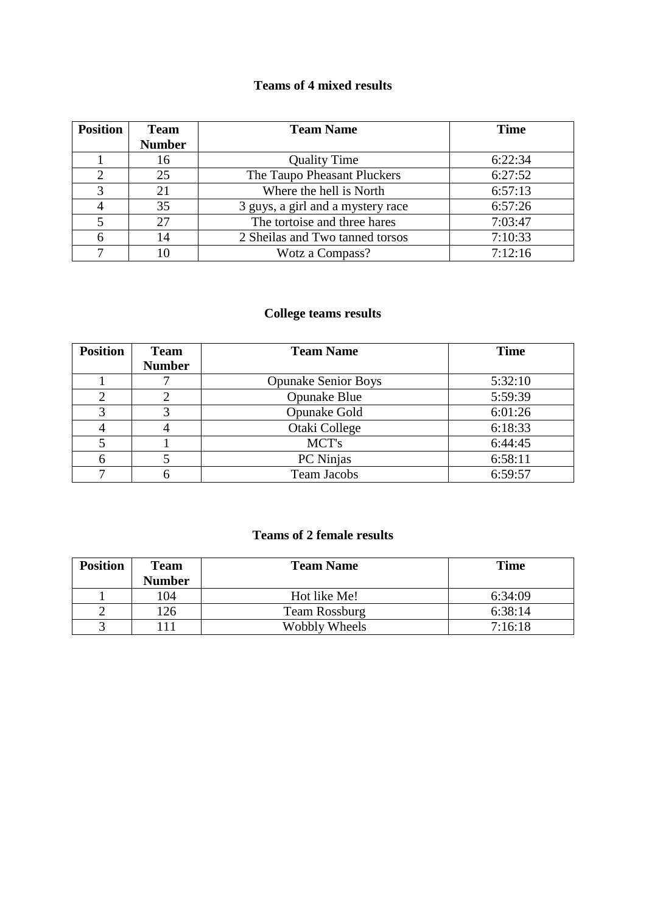# **Teams of 4 mixed results**

| <b>Position</b> | <b>Team</b>   | <b>Team Name</b>                  | <b>Time</b> |
|-----------------|---------------|-----------------------------------|-------------|
|                 | <b>Number</b> |                                   |             |
|                 | 16            | <b>Quality Time</b>               | 6:22:34     |
|                 | 25            | The Taupo Pheasant Pluckers       | 6:27:52     |
|                 | 21            | Where the hell is North           | 6:57:13     |
|                 | 35            | 3 guys, a girl and a mystery race | 6:57:26     |
|                 | 27            | The tortoise and three hares      | 7:03:47     |
|                 | 14            | 2 Sheilas and Two tanned torsos   | 7:10:33     |
| ⇁               | 10            | Wotz a Compass?                   | 7:12:16     |

## **College teams results**

| <b>Position</b> | <b>Team</b>   | <b>Team Name</b>           | <b>Time</b> |
|-----------------|---------------|----------------------------|-------------|
|                 | <b>Number</b> |                            |             |
|                 |               | <b>Opunake Senior Boys</b> | 5:32:10     |
| $\overline{2}$  |               | <b>Opunake Blue</b>        | 5:59:39     |
| 3               |               | Opunake Gold               | 6:01:26     |
|                 |               | Otaki College              | 6:18:33     |
|                 |               | MCT's                      | 6:44:45     |
| 6               |               | PC Ninjas                  | 6:58:11     |
|                 |               | <b>Team Jacobs</b>         | 6:59:57     |

# **Teams of 2 female results**

| <b>Position</b> | <b>Team</b>   | <b>Team Name</b> | <b>Time</b> |
|-----------------|---------------|------------------|-------------|
|                 | <b>Number</b> |                  |             |
|                 | 104           | Hot like Me!     | 6:34:09     |
|                 | 126           | Team Rossburg    | 6:38:14     |
|                 |               | Wobbly Wheels    | 7:16:18     |